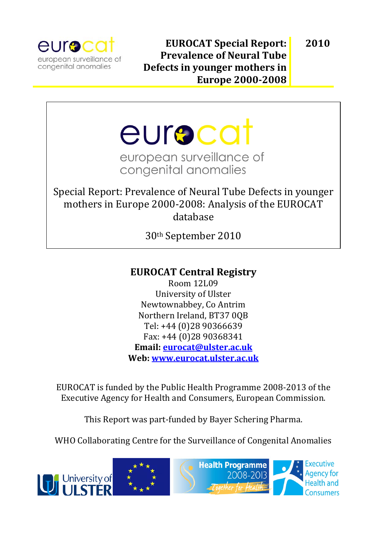

**2010**

eurocat european surveillance of congenital anomalies

Special Report: Prevalence of Neural Tube Defects in younger mothers in Europe 2000‐2008: Analysis of the EUROCAT database

30th September 2010

# **EUROCAT Central Registry**

Room 12L09 University of Ulster Newtownabbey, Co Antrim Northern Ireland, BT37 0QB Tel: +44 (0)28 90366639 Fax: +44 (0)28 90368341 **Email: eurocat@ulster.ac.uk Web: www.eurocat.ulster.ac.uk**

EUROCAT is funded by the Public Health Programme 2008‐2013 of the Executive Agency for Health and Consumers, European Commission.

This Report was part‐funded by Bayer Schering Pharma.

WHO Collaborating Centre for the Surveillance of Congenital Anomalies

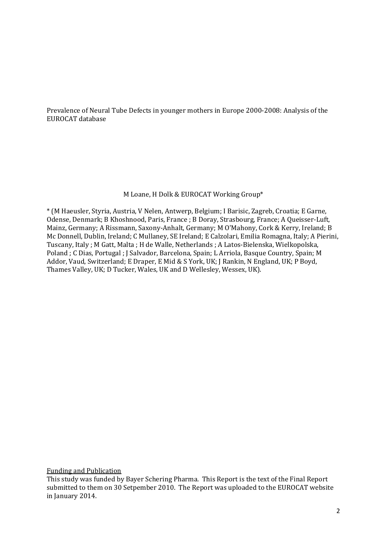Prevalence of Neural Tube Defects in younger mothers in Europe 2000‐2008: Analysis of the EUROCAT database

#### M Loane, H Dolk & EUROCAT Working Group\*

\* (M Haeusler, Styria, Austria, V Nelen, Antwerp, Belgium; I Barisic, Zagreb, Croatia; E Garne, Odense, Denmark; B Khoshnood, Paris, France ; B Doray, Strasbourg, France; A Queisser‐Luft, Mainz, Germany; A Rissmann, Saxony‐Anhalt, Germany; M O'Mahony, Cork & Kerry, Ireland; B Mc Donnell, Dublin, Ireland; C Mullaney, SE Ireland; E Calzolari, Emilia Romagna, Italy; A Pierini, Tuscany, Italy ; M Gatt, Malta ; H de Walle, Netherlands ; A Latos‐Bielenska, Wielkopolska, Poland ; C Dias, Portugal ; J Salvador, Barcelona, Spain; L Arriola, Basque Country, Spain; M Addor, Vaud, Switzerland; E Draper, E Mid & S York, UK; J Rankin, N England, UK; P Boyd, Thames Valley, UK; D Tucker, Wales, UK and D Wellesley, Wessex, UK).

Funding and Publication

This study was funded by Bayer Schering Pharma. This Report is the text of the Final Report submitted to them on 30 Setpember 2010. The Report was uploaded to the EUROCAT website in January 2014.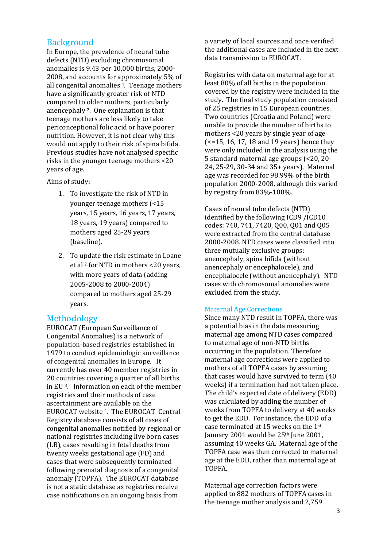# **Background**

In Europe, the prevalence of neural tube defects (NTD) excluding chromosomal anomalies is 9.43 per 10,000 births, 2000‐ 2008, and accounts for approximately 5% of all congenital anomalies 1. Teenage mothers have a significantly greater risk of NTD compared to older mothers, particularly anencephaly 2. One explanation is that teenage mothers are less likely to take periconceptional folic acid or have poorer nutrition. However, it is not clear why this would not apply to their risk of spina bifida. Previous studies have not analysed specific risks in the younger teenage mothers <20 years of age.

Aims of study:

- 1. To investigate the risk of NTD in younger teenage mothers (<15 years, 15 years, 16 years, 17 years, 18 years, 19 years) compared to mothers aged 25‐29 years (baseline).
- 2. To update the risk estimate in Loane et al 2 for NTD in mothers <20 years, with more years of data (adding 2005‐2008 to 2000‐2004) compared to mothers aged 25‐29 years.

# Methodology

EUROCAT (European Surveillance of Congenital Anomalies) is a network of population‐based registries established in 1979 to conduct epidemiologic surveillance of congenital anomalies in Europe. It currently has over 40 member registries in 20 countries covering a quarter of all births in EU 3. Information on each of the member registries and their methods of case ascertainment are available on the EUROCAT website 4. The EUROCAT Central Registry database consists of all cases of congenital anomalies notified by regional or national registries including live born cases (LB), cases resulting in fetal deaths from twenty weeks gestational age (FD) and cases that were subsequently terminated following prenatal diagnosis of a congenital anomaly (TOPFA). The EUROCAT database is not a static database as registries receive case notifications on an ongoing basis from

a variety of local sources and once verified the additional cases are included in the next data transmission to EUROCAT.

Registries with data on maternal age for at least 80% of all births in the population covered by the registry were included in the study. The final study population consisted of 25 registries in 15 European countries. Two countries (Croatia and Poland) were unable to provide the number of births to mothers <20 years by single year of age (<=15, 16, 17, 18 and 19 years) hence they were only included in the analysis using the 5 standard maternal age groups (<20, 20‐ 24, 25‐29, 30‐34 and 35+ years). Maternal age was recorded for 98.99% of the birth population 2000‐2008, although this varied by registry from 83%‐100%.

Cases of neural tube defects (NTD) identified by the following ICD9 /ICD10 codes: 740, 741, 7420, Q00, Q01 and Q05 were extracted from the central database 2000‐2008. NTD cases were classified into three mutually exclusive groups: anencephaly, spina bifida (without anencephaly or encephalocele), and encephalocele (without anencephaly). NTD cases with chromosomal anomalies were excluded from the study.

## Maternal Age Corrections

Since many NTD result in TOPFA, there was a potential bias in the data measuring maternal age among NTD cases compared to maternal age of non‐NTD births occurring in the population. Therefore maternal age corrections were applied to mothers of all TOPFA cases by assuming that cases would have survived to term (40 weeks) if a termination had not taken place. The child's expected date of delivery (EDD) was calculated by adding the number of weeks from TOPFA to delivery at 40 weeks to get the EDD. For instance, the EDD of a case terminated at 15 weeks on the 1st January 2001 would be 25<sup>th</sup> June 2001, assuming 40 weeks GA. Maternal age of the TOPFA case was then corrected to maternal age at the EDD, rather than maternal age at TOPFA.

Maternal age correction factors were applied to 882 mothers of TOPFA cases in the teenage mother analysis and 2,759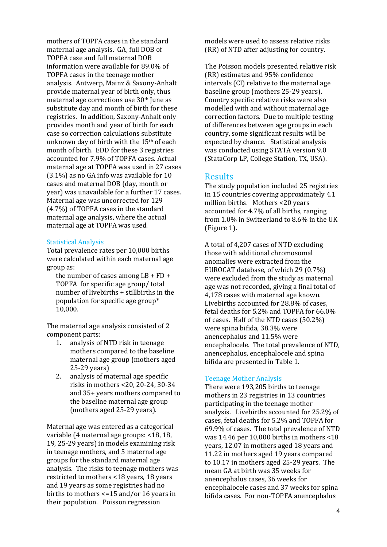mothers of TOPFA cases in the standard maternal age analysis. GA, full DOB of TOPFA case and full maternal DOB information were available for 89.0% of TOPFA cases in the teenage mother analysis. Antwerp, Mainz & Saxony‐Anhalt provide maternal year of birth only, thus maternal age corrections use 30th June as substitute day and month of birth for these registries. In addition, Saxony‐Anhalt only provides month and year of birth for each case so correction calculations substitute unknown day of birth with the 15th of each month of birth. EDD for these 3 registries accounted for 7.9% of TOPFA cases. Actual maternal age at TOPFA was used in 27 cases (3.1%) as no GA info was available for 10 cases and maternal DOB (day, month or year) was unavailable for a further 17 cases. Maternal age was uncorrected for 129 (4.7%) of TOPFA cases in the standard maternal age analysis, where the actual maternal age at TOPFA was used.

#### Statistical Analysis

Total prevalence rates per 10,000 births were calculated within each maternal age group as:

 the number of cases among LB + FD + TOPFA for specific age group/ total number of livebirths + stillbirths in the population for specific age group\* 10,000.

The maternal age analysis consisted of 2 component parts:

- 1. analysis of NTD risk in teenage mothers compared to the baseline maternal age group (mothers aged 25‐29 years)
- 2. analysis of maternal age specific risks in mothers <20, 20‐24, 30‐34 and 35+ years mothers compared to the baseline maternal age group (mothers aged 25‐29 years).

Maternal age was entered as a categorical variable (4 maternal age groups: <18, 18, 19, 25‐29 years) in models examining risk in teenage mothers, and 5 maternal age groups for the standard maternal age analysis. The risks to teenage mothers was restricted to mothers <18 years, 18 years and 19 years as some registries had no births to mothers <=15 and/or 16 years in their population. Poisson regression

models were used to assess relative risks (RR) of NTD after adjusting for country.

The Poisson models presented relative risk (RR) estimates and 95% confidence intervals (CI) relative to the maternal age baseline group (mothers 25‐29 years). Country specific relative risks were also modelled with and without maternal age correction factors. Due to multiple testing of differences between age groups in each country, some significant results will be expected by chance. Statistical analysis was conducted using STATA version 9.0 (StataCorp LP, College Station, TX, USA).

# **Results**

The study population included 25 registries in 15 countries covering approximately 4.1 million births. Mothers <20 years accounted for 4.7% of all births, ranging from 1.0% in Switzerland to 8.6% in the UK (Figure 1).

A total of 4,207 cases of NTD excluding those with additional chromosomal anomalies were extracted from the EUROCAT database, of which 29 (0.7%) were excluded from the study as maternal age was not recorded, giving a final total of 4,178 cases with maternal age known. Livebirths accounted for 28.8% of cases, fetal deaths for 5.2% and TOPFA for 66.0% of cases. Half of the NTD cases (50.2%) were spina bifida, 38.3% were anencephalus and 11.5% were encephalocele. The total prevalence of NTD, anencephalus, encephalocele and spina bifida are presented in Table 1.

#### Teenage Mother Analysis

There were 193,205 births to teenage mothers in 23 registries in 13 countries participating in the teenage mother analysis. Livebirths accounted for 25.2% of cases, fetal deaths for 5.2% and TOPFA for 69.9% of cases. The total prevalence of NTD was 14.46 per 10,000 births in mothers <18 years, 12.07 in mothers aged 18 years and 11.22 in mothers aged 19 years compared to 10.17 in mothers aged 25‐29 years. The mean GA at birth was 35 weeks for anencephalus cases, 36 weeks for encephalocele cases and 37 weeks for spina bifida cases. For non‐TOPFA anencephalus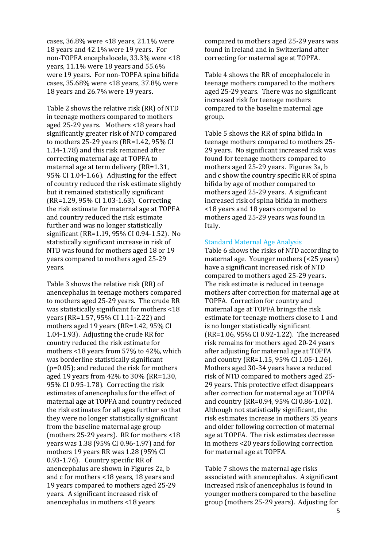cases, 36.8% were <18 years, 21.1% were 18 years and 42.1% were 19 years. For non‐TOPFA encephalocele, 33.3% were <18 years, 11.1% were 18 years and 55.6% were 19 years. For non-TOPFA spina bifida cases, 35.68% were <18 years, 37.8% were 18 years and 26.7% were 19 years.

Table 2 shows the relative risk (RR) of NTD in teenage mothers compared to mothers aged 25‐29 years. Mothers <18 years had significantly greater risk of NTD compared to mothers 25‐29 years (RR=1.42, 95% CI 1.14‐1.78) and this risk remained after correcting maternal age at TOPFA to maternal age at term delivery (RR=1.31, 95% CI 1.04‐1.66). Adjusting for the effect of country reduced the risk estimate slightly but it remained statistically significant (RR=1.29, 95% CI 1.03‐1.63). Correcting the risk estimate for maternal age at TOPFA and country reduced the risk estimate further and was no longer statistically significant (RR=1.19, 95% CI 0.94‐1.52). No statistically significant increase in risk of NTD was found for mothers aged 18 or 19 years compared to mothers aged 25‐29 years.

Table 3 shows the relative risk (RR) of anencephalus in teenage mothers compared to mothers aged 25‐29 years. The crude RR was statistically significant for mothers <18 years (RR=1.57, 95% CI 1.11‐2.22) and mothers aged 19 years (RR=1.42, 95% CI 1.04‐1.93). Adjusting the crude RR for country reduced the risk estimate for mothers <18 years from 57% to 42%, which was borderline statistically significant (p=0.05); and reduced the risk for mothers aged 19 years from 42% to 30% (RR=1.30, 95% CI 0.95‐1.78). Correcting the risk estimates of anencephalus for the effect of maternal age at TOPFA and country reduced the risk estimates for all ages further so that they were no longer statistically significant from the baseline maternal age group (mothers 25‐29 years). RR for mothers <18 years was 1.38 (95% CI 0.96‐1.97) and for mothers 19 years RR was 1.28 (95% CI 0.93-1.76). Country specific RR of anencephalus are shown in Figures 2a, b and c for mothers <18 years, 18 years and 19 years compared to mothers aged 25‐29 years. A significant increased risk of anencephalus in mothers <18 years

compared to mothers aged 25‐29 years was found in Ireland and in Switzerland after correcting for maternal age at TOPFA.

Table 4 shows the RR of encephalocele in teenage mothers compared to the mothers aged 25‐29 years. There was no significant increased risk for teenage mothers compared to the baseline maternal age group.

Table 5 shows the RR of spina bifida in teenage mothers compared to mothers 25‐ 29 years. No significant increased risk was found for teenage mothers compared to mothers aged 25‐29 years. Figures 3a, b and c show the country specific RR of spina bifida by age of mother compared to mothers aged 25‐29 years. A significant increased risk of spina bifida in mothers <18 years and 18 years compared to mothers aged 25‐29 years was found in Italy.

#### Standard Maternal Age Analysis

Table 6 shows the risks of NTD according to maternal age. Younger mothers (<25 years) have a significant increased risk of NTD compared to mothers aged 25‐29 years. The risk estimate is reduced in teenage mothers after correction for maternal age at TOPFA. Correction for country and maternal age at TOPFA brings the risk estimate for teenage mothers close to 1 and is no longer statistically significant (RR=1.06, 95% CI 0.92‐1.22). The increased risk remains for mothers aged 20‐24 years after adjusting for maternal age at TOPFA and country (RR=1.15, 95% CI 1.05‐1.26). Mothers aged 30‐34 years have a reduced risk of NTD compared to mothers aged 25‐ 29 years. This protective effect disappears after correction for maternal age at TOPFA and country (RR=0.94, 95% CI 0.86‐1.02). Although not statistically significant, the risk estimates increase in mothers 35 years and older following correction of maternal age at TOPFA. The risk estimates decrease in mothers <20 years following correction for maternal age at TOPFA.

Table 7 shows the maternal age risks associated with anencephalus. A significant increased risk of anencephalus is found in younger mothers compared to the baseline group (mothers 25‐29 years). Adjusting for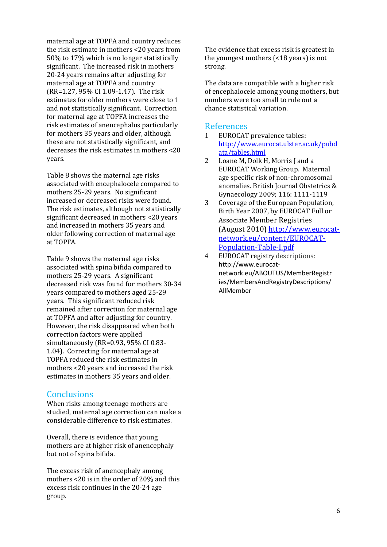maternal age at TOPFA and country reduces the risk estimate in mothers <20 years from 50% to 17% which is no longer statistically significant. The increased risk in mothers 20‐24 years remains after adjusting for maternal age at TOPFA and country (RR=1.27, 95% CI 1.09‐1.47). The risk estimates for older mothers were close to 1 and not statistically significant. Correction for maternal age at TOPFA increases the risk estimates of anencephalus particularly for mothers 35 years and older, although these are not statistically significant, and decreases the risk estimates in mothers <20 years.

Table 8 shows the maternal age risks associated with encephalocele compared to mothers 25‐29 years. No significant increased or decreased risks were found. The risk estimates, although not statistically significant decreased in mothers <20 years and increased in mothers 35 years and older following correction of maternal age at TOPFA.

Table 9 shows the maternal age risks associated with spina bifida compared to mothers 25‐29 years. A significant decreased risk was found for mothers 30‐34 years compared to mothers aged 25‐29 years. This significant reduced risk remained after correction for maternal age at TOPFA and after adjusting for country. However, the risk disappeared when both correction factors were applied simultaneously (RR=0.93, 95% CI 0.83‐ 1.04). Correcting for maternal age at TOPFA reduced the risk estimates in mothers <20 years and increased the risk estimates in mothers 35 years and older.

# **Conclusions**

When risks among teenage mothers are studied, maternal age correction can make a considerable difference to risk estimates.

Overall, there is evidence that young mothers are at higher risk of anencephaly but not of spina bifida.

The excess risk of anencephaly among mothers <20 is in the order of 20% and this excess risk continues in the 20‐24 age group.

The evidence that excess risk is greatest in the youngest mothers (<18 years) is not strong.

The data are compatible with a higher risk of encephalocele among young mothers, but numbers were too small to rule out a chance statistical variation.

#### References

- 1 EUROCAT prevalence tables: http://www.eurocat.ulster.ac.uk/pubd ata/tables.html
- 2 Loane M, Dolk H, Morris J and a EUROCAT Working Group. Maternal age specific risk of non‐chromosomal anomalies. British Journal Obstetrics & Gynaecology 2009; 116: 1111‐1119
- 3 Coverage of the European Population, Birth Year 2007, by EUROCAT Full or Associate Member Registries (August 2010) http://www.eurocat‐ network.eu/content/EUROCAT‐ Population‐Table‐I.pdf
- 4 EUROCAT registry descriptions: http://www.eurocat‐ network.eu/ABOUTUS/MemberRegistr ies/MembersAndRegistryDescriptions/ AllMember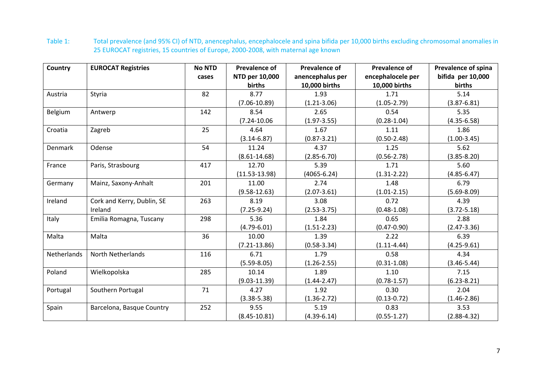Table 1: Total prevalence (and 95% CI) of NTD, anencephalus, encephalocele and spina bifida per 10,000 births excluding chromosomal anomalies in 25 EUROCAT registries, 15 countries of Europe, 2000‐2008, with maternal age known

| Country        | <b>EUROCAT Registries</b>  | <b>No NTD</b> | <b>Prevalence of</b> | <b>Prevalence of</b> | <b>Prevalence of</b> | Prevalence of spina |
|----------------|----------------------------|---------------|----------------------|----------------------|----------------------|---------------------|
|                |                            | cases         | NTD per 10,000       | anencephalus per     | encephalocele per    | bifida per 10,000   |
|                |                            |               | births               | 10,000 births        | 10,000 births        | births              |
| Austria        | Styria                     | 82            | 8.77                 | 1.93                 | 1.71                 | 5.14                |
|                |                            |               | $(7.06 - 10.89)$     | $(1.21 - 3.06)$      | $(1.05 - 2.79)$      | $(3.87 - 6.81)$     |
| Belgium        | Antwerp                    | 142           | 8.54                 | 2.65                 | 0.54                 | 5.35                |
|                |                            |               | $(7.24 - 10.06)$     | $(1.97 - 3.55)$      | $(0.28 - 1.04)$      | $(4.35 - 6.58)$     |
| Croatia        | Zagreb                     | 25            | 4.64                 | 1.67                 | 1.11                 | 1.86                |
|                |                            |               | $(3.14 - 6.87)$      | $(0.87 - 3.21)$      | $(0.50 - 2.48)$      | $(1.00-3.45)$       |
| <b>Denmark</b> | Odense                     | 54            | 11.24                | 4.37                 | 1.25                 | $5.62$              |
|                |                            |               | $(8.61 - 14.68)$     | $(2.85 - 6.70)$      | $(0.56 - 2.78)$      | $(3.85 - 8.20)$     |
| France         | Paris, Strasbourg          | 417           | 12.70                | 5.39                 | 1.71                 | 5.60                |
|                |                            |               | $(11.53 - 13.98)$    | $(4065 - 6.24)$      | $(1.31 - 2.22)$      | $(4.85 - 6.47)$     |
| Germany        | Mainz, Saxony-Anhalt       | 201           | 11.00                | 2.74                 | 1.48                 | 6.79                |
|                |                            |               | $(9.58 - 12.63)$     | $(2.07 - 3.61)$      | $(1.01 - 2.15)$      | $(5.69 - 8.09)$     |
| Ireland        | Cork and Kerry, Dublin, SE | 263           | 8.19                 | 3.08                 | 0.72                 | 4.39                |
|                | Ireland                    |               | $(7.25-9.24)$        | $(2.53 - 3.75)$      | $(0.48 - 1.08)$      | $(3.72 - 5.18)$     |
| Italy          | Emilia Romagna, Tuscany    | 298           | 5.36                 | 1.84                 | 0.65                 | 2.88                |
|                |                            |               | $(4.79 - 6.01)$      | $(1.51 - 2.23)$      | $(0.47 - 0.90)$      | $(2.47 - 3.36)$     |
| Malta          | Malta                      | 36            | 10.00                | 1.39                 | 2.22                 | 6.39                |
|                |                            |               | $(7.21 - 13.86)$     | $(0.58 - 3.34)$      | $(1.11 - 4.44)$      | $(4.25-9.61)$       |
| Netherlands    | North Netherlands          | 116           | 6.71                 | 1.79                 | 0.58                 | 4.34                |
|                |                            |               | $(5.59 - 8.05)$      | $(1.26 - 2.55)$      | $(0.31 - 1.08)$      | $(3.46 - 5.44)$     |
| Poland         | Wielkopolska               | 285           | 10.14                | 1.89                 | 1.10                 | 7.15                |
|                |                            |               | $(9.03 - 11.39)$     | $(1.44 - 2.47)$      | $(0.78 - 1.57)$      | $(6.23 - 8.21)$     |
| Portugal       | Southern Portugal          | 71            | 4.27                 | 1.92                 | 0.30                 | 2.04                |
|                |                            |               | $(3.38 - 5.38)$      | $(1.36 - 2.72)$      | $(0.13 - 0.72)$      | $(1.46 - 2.86)$     |
| Spain          | Barcelona, Basque Country  | 252           | 9.55                 | 5.19                 | 0.83                 | 3.53                |
|                |                            |               | $(8.45 - 10.81)$     | $(4.39 - 6.14)$      | $(0.55 - 1.27)$      | $(2.88 - 4.32)$     |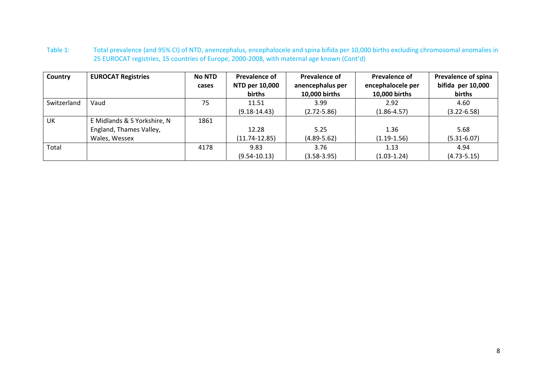Table 1: Total prevalence (and 95% CI) of NTD, anencephalus, encephalocele and spina bifida per 10,000 births excluding chromosomal anomalies in 25 EUROCAT registries, 15 countries of Europe, 2000‐2008, with maternal age known (Cont'd)

| Country     | <b>EUROCAT Registries</b>   | <b>No NTD</b> | Prevalence of            | <b>Prevalence of</b>              | <b>Prevalence of</b>               | Prevalence of spina         |
|-------------|-----------------------------|---------------|--------------------------|-----------------------------------|------------------------------------|-----------------------------|
|             |                             | cases         | NTD per 10,000<br>births | anencephalus per<br>10,000 births | encephalocele per<br>10,000 births | bifida per 10,000<br>births |
|             |                             |               |                          |                                   |                                    |                             |
| Switzerland | Vaud                        | 75            | 11.51                    | 3.99                              | 2.92                               | 4.60                        |
|             |                             |               | $(9.18 - 14.43)$         | $(2.72 - 5.86)$                   | $(1.86 - 4.57)$                    | $(3.22 - 6.58)$             |
| UK          | E Midlands & S Yorkshire, N | 1861          |                          |                                   |                                    |                             |
|             | England, Thames Valley,     |               | 12.28                    | 5.25                              | 1.36                               | 5.68                        |
|             | Wales, Wessex               |               | $(11.74 - 12.85)$        | $(4.89 - 5.62)$                   | $(1.19-1.56)$                      | $(5.31 - 6.07)$             |
| Total       |                             | 4178          | 9.83                     | 3.76                              | 1.13                               | 4.94                        |
|             |                             |               | $(9.54 - 10.13)$         | $(3.58 - 3.95)$                   | $(1.03 - 1.24)$                    | $(4.73 - 5.15)$             |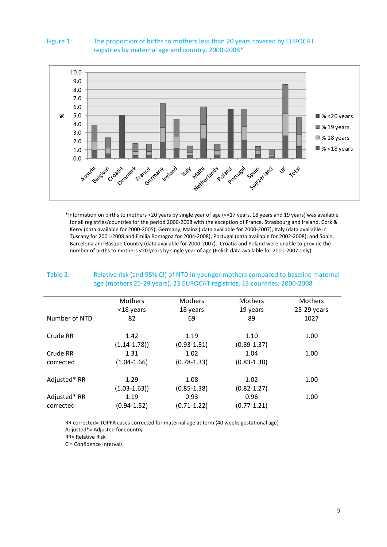

### Figure 1: The proportion of births to mothers less than 20 years covered by EUROCAT registries by maternal age and country, 2000‐2008\*

\*Information on births to mothers <20 years by single year of age (<=17 years, 18 years and 19 years) was available for all registries/countries for the period 2000-2008 with the exception of France, Strasbourg and Ireland, Cork & Kerry (data available for 2000‐2005); Germany, Mainz ( data available for 2000‐2007); Italy (data available in Tuscany for 2001‐2008 and Emilia Romagna for 2004‐2008); Portugal (data available for 2002‐2008); and Spain, Barcelona and Basque Country (data available for 2000‐2007). Croatia and Poland were unable to provide the number of births to mothers <20 years by single year of age (Polish data available for 2000‐2007 only).

| Table 2:<br>Relative risk (and 95% CI) of NTD in younger mothers compared to baseline maternal<br>age (mothers 25-29 years), 23 EUROCAT registries, 13 countries, 2000-2008 |                 |                 |                 |                |  |
|-----------------------------------------------------------------------------------------------------------------------------------------------------------------------------|-----------------|-----------------|-----------------|----------------|--|
|                                                                                                                                                                             | <b>Mothers</b>  | <b>Mothers</b>  | <b>Mothers</b>  | <b>Mothers</b> |  |
|                                                                                                                                                                             | <18 years       | 18 years        | 19 years        | 25-29 years    |  |
| Number of NTD                                                                                                                                                               | 82              | 69              | 89              | 1027           |  |
| Crude RR                                                                                                                                                                    | 1.42            | 1.19            | 1.10            | 1.00           |  |
|                                                                                                                                                                             | $(1.14 - 1.78)$ | $(0.93 - 1.51)$ | $(0.89 - 1.37)$ |                |  |
| Crude RR                                                                                                                                                                    | 1.31            | 1.02            | 1.04            | 1.00           |  |
| corrected                                                                                                                                                                   | $(1.04 - 1.66)$ | $(0.78 - 1.33)$ | $(0.83 - 1.30)$ |                |  |
| Adjusted* RR                                                                                                                                                                | 1.29            | 1.08            | 1.02            | 1.00           |  |
|                                                                                                                                                                             | $(1.03 - 1.63)$ | $(0.85 - 1.38)$ | $(0.82 - 1.27)$ |                |  |
| Adjusted* RR                                                                                                                                                                | 1.19            | 0.93            | 0.96            | 1.00           |  |
| corrected                                                                                                                                                                   | $(0.94 - 1.52)$ | $(0.71 - 1.22)$ | $(0.77 - 1.21)$ |                |  |

Table 2: Relative risk (and 95% CI) of NTD in younger mothers compared to baseline maternal

RR corrected= TOPFA cases corrected for maternal age at term (40 weeks gestational age) Adjusted\*= Adjusted for country

RR= Relative Risk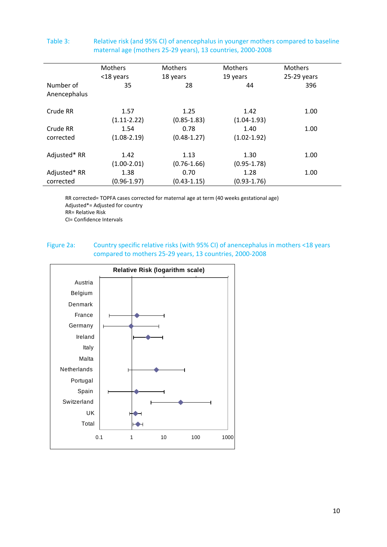|              | <b>Mothers</b>  | <b>Mothers</b>  | <b>Mothers</b>  | <b>Mothers</b> |  |
|--------------|-----------------|-----------------|-----------------|----------------|--|
|              | <18 years       | 18 years        | 19 years        | $25-29$ years  |  |
| Number of    | 35              | 28              | 44              | 396            |  |
| Anencephalus |                 |                 |                 |                |  |
| Crude RR     | 1.57            | 1.25            | 1.42            | 1.00           |  |
|              | $(1.11 - 2.22)$ | $(0.85 - 1.83)$ | $(1.04 - 1.93)$ |                |  |
| Crude RR     | 1.54            | 0.78            | 1.40            | 1.00           |  |
| corrected    | $(1.08 - 2.19)$ | $(0.48 - 1.27)$ | $(1.02 - 1.92)$ |                |  |
| Adjusted* RR | 1.42            | 1.13            | 1.30            | 1.00           |  |
|              | $(1.00-2.01)$   | $(0.76 - 1.66)$ | $(0.95 - 1.78)$ |                |  |
| Adjusted* RR | 1.38            | 0.70            | 1.28            | 1.00           |  |
| corrected    | $(0.96 - 1.97)$ | $(0.43 - 1.15)$ | $(0.93 - 1.76)$ |                |  |

#### Table 3: Relative risk (and 95% CI) of anencephalus in younger mothers compared to baseline maternal age (mothers 25‐29 years), 13 countries, 2000‐2008

RR corrected= TOPFA cases corrected for maternal age at term (40 weeks gestational age) Adjusted\*= Adjusted for country RR= Relative Risk

CI= Confidence Intervals

### Figure 2a: Country specific relative risks (with 95% CI) of anencephalus in mothers <18 years compared to mothers 25‐29 years, 13 countries, 2000‐2008

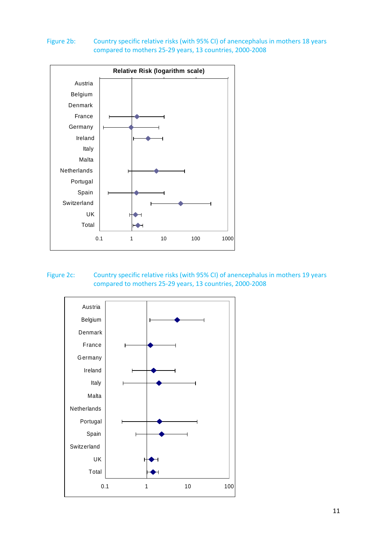#### Figure 2b: Country specific relative risks (with 95% CI) of anencephalus in mothers 18 years compared to mothers 25‐29 years, 13 countries, 2000‐2008



# Figure 2c: Country specific relative risks (with 95% CI) of anencephalus in mothers 19 years compared to mothers 25‐29 years, 13 countries, 2000‐2008

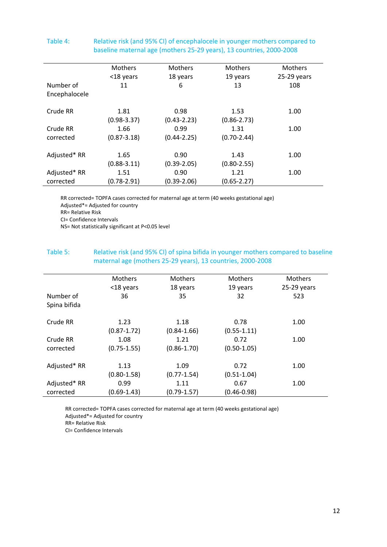|               |                 |                 | $\frac{1}{2}$   |                |
|---------------|-----------------|-----------------|-----------------|----------------|
|               | Mothers         | <b>Mothers</b>  | <b>Mothers</b>  | <b>Mothers</b> |
|               | <18 years       | 18 years        | 19 years        | $25-29$ years  |
| Number of     | 11              | 6               | 13              | 108            |
| Encephalocele |                 |                 |                 |                |
| Crude RR      | 1.81            | 0.98            | 1.53            | 1.00           |
|               | $(0.98 - 3.37)$ | $(0.43 - 2.23)$ | $(0.86 - 2.73)$ |                |
| Crude RR      | 1.66            | 0.99            | 1.31            | 1.00           |
| corrected     | $(0.87 - 3.18)$ | $(0.44 - 2.25)$ | $(0.70 - 2.44)$ |                |
| Adjusted* RR  | 1.65            | 0.90            | 1.43            | 1.00           |
|               | $(0.88 - 3.11)$ | $(0.39 - 2.05)$ | $(0.80 - 2.55)$ |                |
| Adjusted* RR  | 1.51            | 0.90            | 1.21            | 1.00           |
| corrected     | $(0.78 - 2.91)$ | $(0.39 - 2.06)$ | $(0.65 - 2.27)$ |                |

#### Table 4: Relative risk (and 95% CI) of encephalocele in younger mothers compared to baseline maternal age (mothers 25‐29 years), 13 countries, 2000‐2008

RR corrected= TOPFA cases corrected for maternal age at term (40 weeks gestational age) Adjusted\*= Adjusted for country

RR= Relative Risk

CI= Confidence Intervals

NS= Not statistically significant at P<0.05 level

### Table 5: Relative risk (and 95% CI) of spina bifida in younger mothers compared to baseline maternal age (mothers 25‐29 years), 13 countries, 2000‐2008

|              | <b>Mothers</b>  | <b>Mothers</b>  | <b>Mothers</b>  | <b>Mothers</b> |
|--------------|-----------------|-----------------|-----------------|----------------|
|              | <18 years       | 18 years        | 19 years        | $25-29$ years  |
| Number of    | 36              | 35              | 32              | 523            |
| Spina bifida |                 |                 |                 |                |
|              |                 |                 |                 |                |
| Crude RR     | 1.23            | 1.18            | 0.78            | 1.00           |
|              | $(0.87 - 1.72)$ | $(0.84 - 1.66)$ | $(0.55 - 1.11)$ |                |
| Crude RR     | 1.08            | 1.21            | 0.72            | 1.00           |
| corrected    | $(0.75 - 1.55)$ | $(0.86 - 1.70)$ | $(0.50 - 1.05)$ |                |
|              |                 |                 |                 |                |
| Adjusted* RR | 1.13            | 1.09            | 0.72            | 1.00           |
|              | $(0.80 - 1.58)$ | $(0.77 - 1.54)$ | $(0.51 - 1.04)$ |                |
| Adjusted* RR | 0.99            | 1.11            | 0.67            | 1.00           |
| corrected    | $(0.69 - 1.43)$ | $(0.79 - 1.57)$ | $(0.46 - 0.98)$ |                |

RR corrected= TOPFA cases corrected for maternal age at term (40 weeks gestational age) Adjusted\*= Adjusted for country

RR= Relative Risk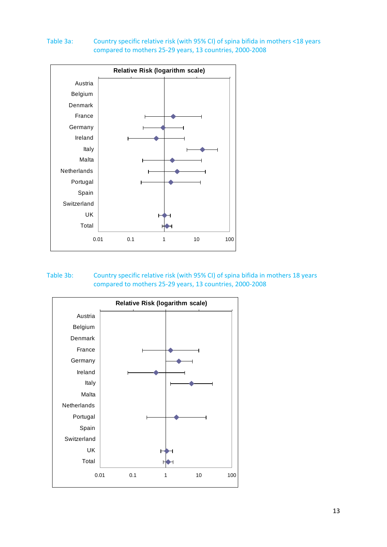### Table 3a: Country specific relative risk (with 95% CI) of spina bifida in mothers <18 years compared to mothers 25‐29 years, 13 countries, 2000‐2008



#### Table 3b: Country specific relative risk (with 95% CI) of spina bifida in mothers 18 years compared to mothers 25‐29 years, 13 countries, 2000‐2008

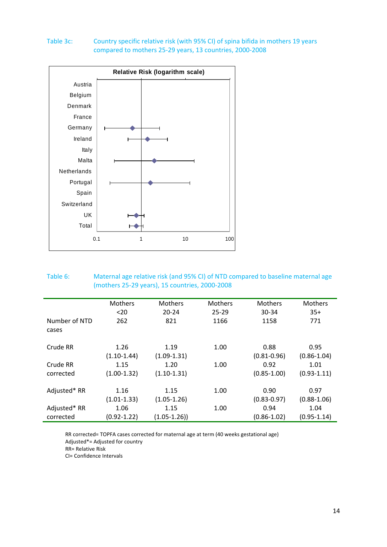#### Table 3c: Country specific relative risk (with 95% CI) of spina bifida in mothers 19 years compared to mothers 25‐29 years, 13 countries, 2000‐2008



# Table 6: Maternal age relative risk (and 95% CI) of NTD compared to baseline maternal age (mothers 25‐29 years), 15 countries, 2000‐2008

|               | Mothers         | Mothers         | Mothers   | Mothers         | <b>Mothers</b>  |
|---------------|-----------------|-----------------|-----------|-----------------|-----------------|
|               | $20$            | $20 - 24$       | $25 - 29$ | 30-34           | $35+$           |
| Number of NTD | 262             | 821             | 1166      | 1158            | 771             |
| cases         |                 |                 |           |                 |                 |
|               |                 |                 |           |                 |                 |
| Crude RR      | 1.26            | 1.19            | 1.00      | 0.88            | 0.95            |
|               | $(1.10-1.44)$   | $(1.09-1.31)$   |           | $(0.81 - 0.96)$ | $(0.86 - 1.04)$ |
| Crude RR      | 1.15            | 1.20            | 1.00      | 0.92            | 1.01            |
| corrected     | $(1.00-1.32)$   | $(1.10-1.31)$   |           | $(0.85 - 1.00)$ | $(0.93 - 1.11)$ |
|               |                 |                 |           |                 |                 |
| Adjusted* RR  | 1.16            | 1.15            | 1.00      | 0.90            | 0.97            |
|               | $(1.01 - 1.33)$ | $(1.05 - 1.26)$ |           | $(0.83 - 0.97)$ | $(0.88 - 1.06)$ |
| Adjusted* RR  | 1.06            | 1.15            | 1.00      | 0.94            | 1.04            |
| corrected     | $(0.92 - 1.22)$ | $(1.05 - 1.26)$ |           | $(0.86 - 1.02)$ | $(0.95 - 1.14)$ |

RR corrected= TOPFA cases corrected for maternal age at term (40 weeks gestational age) Adjusted\*= Adjusted for country

RR= Relative Risk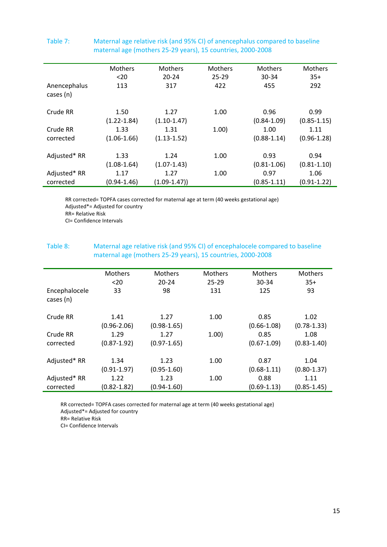|                           | Mothers         | <b>Mothers</b>   | <b>Mothers</b> | <b>Mothers</b>  | <b>Mothers</b>  |
|---------------------------|-----------------|------------------|----------------|-----------------|-----------------|
|                           | $20$            | $20 - 24$        | $25 - 29$      | 30-34           | $35+$           |
| Anencephalus<br>cases (n) | 113             | 317              | 422            | 455             | 292             |
| Crude RR                  | 1.50            | 1.27             | 1.00           | 0.96            | 0.99            |
|                           | $(1.22 - 1.84)$ | $(1.10-1.47)$    |                | $(0.84 - 1.09)$ | $(0.85 - 1.15)$ |
| Crude RR                  | 1.33            | 1.31             | 1.00           | 1.00            | 1.11            |
| corrected                 | $(1.06 - 1.66)$ | $(1.13 - 1.52)$  |                | $(0.88 - 1.14)$ | $(0.96 - 1.28)$ |
| Adjusted* RR              | 1.33            | 1.24             | 1.00           | 0.93            | 0.94            |
|                           | $(1.08 - 1.64)$ | $(1.07 - 1.43)$  |                | $(0.81 - 1.06)$ | $(0.81 - 1.10)$ |
| Adjusted* RR              | 1.17            | 1.27             | 1.00           | 0.97            | 1.06            |
| corrected                 | $(0.94 - 1.46)$ | $(1.09 - 1.47))$ |                | $(0.85 - 1.11)$ | $(0.91 - 1.22)$ |

#### Table 7: Maternal age relative risk (and 95% CI) of anencephalus compared to baseline maternal age (mothers 25‐29 years), 15 countries, 2000‐2008

RR corrected= TOPFA cases corrected for maternal age at term (40 weeks gestational age) Adjusted\*= Adjusted for country RR= Relative Risk CI= Confidence Intervals

#### Table 8: Maternal age relative risk (and 95% CI) of encephalocele compared to baseline maternal age (mothers 25‐29 years), 15 countries, 2000‐2008

|                            | Mothers         | Mothers         | <b>Mothers</b> | Mothers         | Mothers         |
|----------------------------|-----------------|-----------------|----------------|-----------------|-----------------|
|                            | $20$            | $20 - 24$       | $25 - 29$      | 30-34           | $35+$           |
| Encephalocele<br>cases (n) | 33              | 98              | 131            | 125             | 93              |
|                            |                 |                 |                |                 |                 |
| Crude RR                   | 1.41            | 1.27            | 1.00           | 0.85            | 1.02            |
|                            | $(0.96 - 2.06)$ | $(0.98 - 1.65)$ |                | $(0.66 - 1.08)$ | $(0.78 - 1.33)$ |
| Crude RR                   | 1.29            | 1.27            | 1.00)          | 0.85            | 1.08            |
| corrected                  | $(0.87 - 1.92)$ | $(0.97 - 1.65)$ |                | $(0.67 - 1.09)$ | $(0.83 - 1.40)$ |
|                            |                 |                 |                |                 |                 |
| Adjusted* RR               | 1.34            | 1.23            | 1.00           | 0.87            | 1.04            |
|                            | $(0.91 - 1.97)$ | $(0.95 - 1.60)$ |                | $(0.68 - 1.11)$ | $(0.80 - 1.37)$ |
| Adjusted* RR               | 1.22            | 1.23            | 1.00           | 0.88            | 1.11            |
| corrected                  | $(0.82 - 1.82)$ | $(0.94 - 1.60)$ |                | $(0.69 - 1.13)$ | $(0.85 - 1.45)$ |

RR corrected= TOPFA cases corrected for maternal age at term (40 weeks gestational age) Adjusted\*= Adjusted for country

RR= Relative Risk

Ĩ.